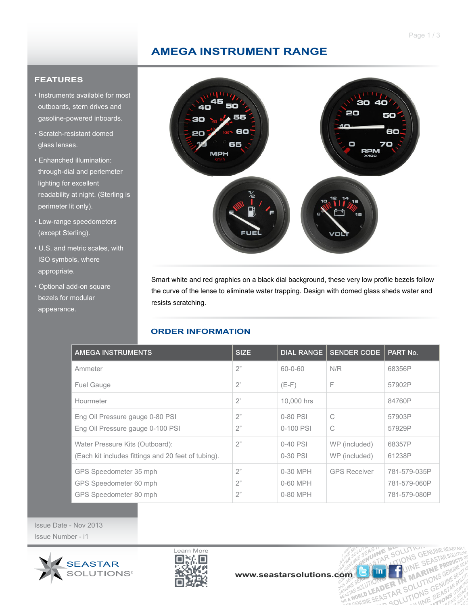OLUTION SEASTARS

UINE BINE

ER IN MARTIONS GENERAL

R SULUTS

IF SOLUT

UTION THE MARINAS

FASINE

in

## **AMEGA INSTRUMENT RANGE**

### **FEATURES**

- Instruments available for most outboards, stern drives and gasoline-powered inboards.
- Scratch-resistant domed glass lenses.
- Enhanched illumination: through-dial and periemeter lighting for excellent readability at night. (Sterling is perimeter lit only).
- Low-range speedometers (except Sterling).
- U.S. and metric scales, with ISO symbols, where appropriate.
- Optional add-on square bezels for modular appearance.



Smart white and red graphics on a black dial background, these very low profile bezels follow the curve of the lense to eliminate water trapping. Design with domed glass sheds water and resists scratching.

## **ORDER INFORMATION**

| <b>AMEGA INSTRUMENTS</b>                                                               | <b>SIZE</b>    | <b>DIAL RANGE</b>                | <b>SENDER CODE</b>             | PART No.                                     |
|----------------------------------------------------------------------------------------|----------------|----------------------------------|--------------------------------|----------------------------------------------|
| Ammeter                                                                                | 2"             | $60 - 0 - 60$                    | N/R                            | 68356P                                       |
| <b>Fuel Gauge</b>                                                                      | $2^{\circ}$    | $(E-F)$                          | F                              | 57902P                                       |
| Hourmeter                                                                              | $2^{\circ}$    | 10,000 hrs                       |                                | 84760P                                       |
| Eng Oil Pressure gauge 0-80 PSI<br>Eng Oil Pressure gauge 0-100 PSI                    | 2"<br>2"       | 0-80 PSI<br>0-100 PSI            | C<br>С                         | 57903P<br>57929P                             |
| Water Pressure Kits (Outboard):<br>(Each kit includes fittings and 20 feet of tubing). | 2"             | $0-40$ PSI<br>0-30 PSI           | WP (included)<br>WP (included) | 68357P<br>61238P                             |
| GPS Speedometer 35 mph<br>GPS Speedometer 60 mph<br>GPS Speedometer 80 mph             | 2"<br>2"<br>2" | 0-30 MPH<br>0-60 MPH<br>0-80 MPH | <b>GPS Receiver</b>            | 781-579-035P<br>781-579-060P<br>781-579-080P |

Issue Date - Nov 2013 Issue Number - i1



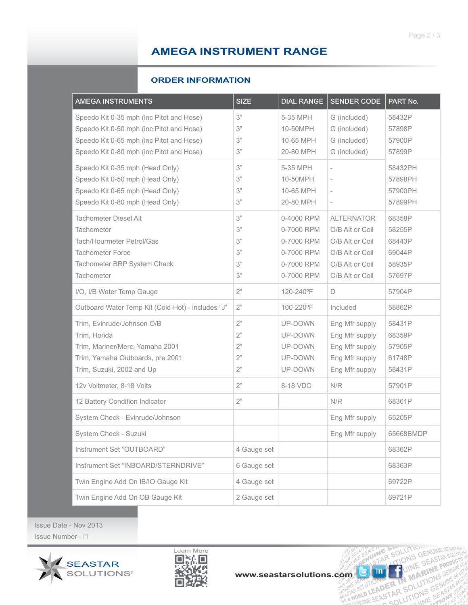# **AMEGA INSTRUMENT RANGE**

#### **ORDER INFORMATION**

| <b>AMEGA INSTRUMENTS</b>                                                                                                                                                     | <b>SIZE</b>                      | <b>DIAL RANGE</b>                                                                | <b>SENDER CODE</b>                                                                                               | PART No.                                                 |
|------------------------------------------------------------------------------------------------------------------------------------------------------------------------------|----------------------------------|----------------------------------------------------------------------------------|------------------------------------------------------------------------------------------------------------------|----------------------------------------------------------|
| Speedo Kit 0-35 mph (inc Pitot and Hose)<br>Speedo Kit 0-50 mph (inc Pitot and Hose)<br>Speedo Kit 0-65 mph (inc Pitot and Hose)<br>Speedo Kit 0-80 mph (inc Pitot and Hose) | 3"<br>3"<br>3"<br>3"             | 5-35 MPH<br>10-50MPH<br>10-65 MPH<br>20-80 MPH                                   | G (included)<br>G (included)<br>G (included)<br>G (included)                                                     | 58432P<br>57898P<br>57900P<br>57899P                     |
| Speedo Kit 0-35 mph (Head Only)<br>Speedo Kit 0-50 mph (Head Only)<br>Speedo Kit 0-65 mph (Head Only)<br>Speedo Kit 0-80 mph (Head Only)                                     | 3"<br>3"<br>3"<br>3"             | 5-35 MPH<br>10-50MPH<br>10-65 MPH<br>20-80 MPH                                   | $\centerdot$<br>$\overline{\phantom{0}}$                                                                         | 58432PH<br>57898PH<br>57900PH<br>57899PH                 |
| <b>Tachometer Diesel Alt</b><br>Tachometer<br>Tach/Hourmeter Petrol/Gas<br><b>Tachometer Force</b><br>Tachometer BRP System Check<br>Tachometer                              | 3"<br>3"<br>3"<br>3"<br>3"<br>3" | 0-4000 RPM<br>0-7000 RPM<br>0-7000 RPM<br>0-7000 RPM<br>0-7000 RPM<br>0-7000 RPM | <b>ALTERNATOR</b><br>O/B Alt or Coil<br>O/B Alt or Coil<br>O/B Alt or Coil<br>O/B Alt or Coil<br>O/B Alt or Coil | 68358P<br>58255P<br>68443P<br>69044P<br>58935P<br>57697P |
| I/O, I/B Water Temp Gauge                                                                                                                                                    | 2"                               | 120-240°F                                                                        | D                                                                                                                | 57904P                                                   |
| Outboard Water Temp Kit (Cold-Hot) - includes "J"                                                                                                                            | 2"                               | 100-220°F                                                                        | Included                                                                                                         | 58862P                                                   |
| Trim, Evinrude/Johnson O/B<br>Trim, Honda<br>Trim, Mariner/Merc, Yamaha 2001<br>Trim, Yamaha Outboards, pre 2001<br>Trim, Suzuki, 2002 and Up                                | 2"<br>2"<br>2"<br>2"<br>2"       | UP-DOWN<br>UP-DOWN<br>UP-DOWN<br>UP-DOWN<br>UP-DOWN                              | Eng Mfr supply<br>Eng Mfr supply<br>Eng Mfr supply<br>Eng Mfr supply<br>Eng Mfr supply                           | 58431P<br>68359P<br>57905P<br>61748P<br>58431P           |
| 12v Voltmeter, 8-18 Volts                                                                                                                                                    | 2"                               | 8-18 VDC                                                                         | N/R                                                                                                              | 57901P                                                   |
| 12 Battery Condition Indicator                                                                                                                                               | 2"                               |                                                                                  | N/R                                                                                                              | 68361P                                                   |
| System Check - Evinrude/Johnson                                                                                                                                              |                                  |                                                                                  | Eng Mfr supply                                                                                                   | 65205P                                                   |
| System Check - Suzuki                                                                                                                                                        |                                  |                                                                                  | Eng Mfr supply                                                                                                   | 65668BMDP                                                |
| Instrument Set "OUTBOARD"                                                                                                                                                    | 4 Gauge set                      |                                                                                  |                                                                                                                  | 68362P                                                   |
| Instrument Set "INBOARD/STERNDRIVE"                                                                                                                                          | 6 Gauge set                      |                                                                                  |                                                                                                                  | 68363P                                                   |
| Twin Engine Add On IB/IO Gauge Kit                                                                                                                                           | 4 Gauge set                      |                                                                                  |                                                                                                                  | 69722P                                                   |
| Twin Engine Add On OB Gauge Kit                                                                                                                                              | 2 Gauge set                      |                                                                                  |                                                                                                                  | 69721P                                                   |

Issue Date - Nov 2013 Issue Number - i1